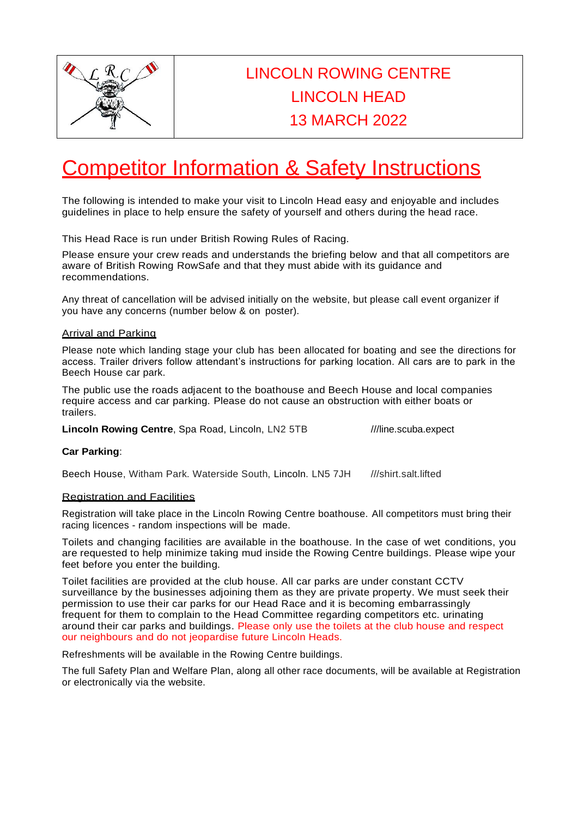

# LINCOLN ROWING CENTRE LINCOLN HEAD 13 MARCH 2022

# Competitor Information & Safety Instructions

The following is intended to make your visit to Lincoln Head easy and enjoyable and includes guidelines in place to help ensure the safety of yourself and others during the head race.

This Head Race is run under British Rowing Rules of Racing.

Please ensure your crew reads and understands the briefing below and that all competitors are aware of British Rowing RowSafe and that they must abide with its guidance and recommendations.

Any threat of cancellation will be advised initially on the website, but please call event organizer if you have any concerns (number below & on poster).

#### Arrival and Parking

Please note which landing stage your club has been allocated for boating and see the directions for access. Trailer drivers follow attendant's instructions for parking location. All cars are to park in the Beech House car park.

The public use the roads adjacent to the boathouse and Beech House and local companies require access and car parking. Please do not cause an obstruction with either boats or trailers.

**Lincoln Rowing Centre**, Spa Road, Lincoln, LN2 5TB ///line.scuba.expect

#### **Car Parking**:

Beech House, Witham Park. Waterside South, Lincoln. LN5 7JH ///shirt.salt.lifted

# Registration and Facilities

Registration will take place in the Lincoln Rowing Centre boathouse. All competitors must bring their racing licences - random inspections will be made.

Toilets and changing facilities are available in the boathouse. In the case of wet conditions, you are requested to help minimize taking mud inside the Rowing Centre buildings. Please wipe your feet before you enter the building.

Toilet facilities are provided at the club house. All car parks are under constant CCTV surveillance by the businesses adjoining them as they are private property. We must seek their permission to use their car parks for our Head Race and it is becoming embarrassingly frequent for them to complain to the Head Committee regarding competitors etc. urinating around their car parks and buildings. Please only use the toilets at the club house and respect our neighbours and do not jeopardise future Lincoln Heads.

Refreshments will be available in the Rowing Centre buildings.

The full Safety Plan and Welfare Plan, along all other race documents, will be available at Registration or electronically via the website.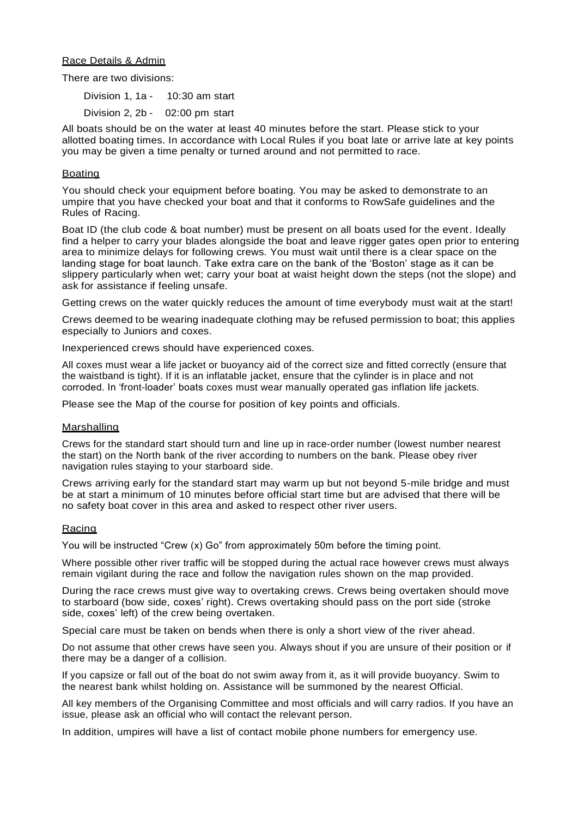#### Race Details & Admin

There are two divisions:

Division 1, 1a - 10:30 am start Division 2, 2b - 02:00 pm start

All boats should be on the water at least 40 minutes before the start. Please stick to your allotted boating times. In accordance with Local Rules if you boat late or arrive late at key points you may be given a time penalty or turned around and not permitted to race.

#### **Boating**

You should check your equipment before boating. You may be asked to demonstrate to an umpire that you have checked your boat and that it conforms to RowSafe guidelines and the Rules of Racing.

Boat ID (the club code & boat number) must be present on all boats used for the event. Ideally find a helper to carry your blades alongside the boat and leave rigger gates open prior to entering area to minimize delays for following crews. You must wait until there is a clear space on the landing stage for boat launch. Take extra care on the bank of the 'Boston' stage as it can be slippery particularly when wet; carry your boat at waist height down the steps (not the slope) and ask for assistance if feeling unsafe.

Getting crews on the water quickly reduces the amount of time everybody must wait at the start!

Crews deemed to be wearing inadequate clothing may be refused permission to boat; this applies especially to Juniors and coxes.

Inexperienced crews should have experienced coxes.

All coxes must wear a life jacket or buoyancy aid of the correct size and fitted correctly (ensure that the waistband is tight). If it is an inflatable jacket, ensure that the cylinder is in place and not corroded. In 'front-loader' boats coxes must wear manually operated gas inflation life jackets.

Please see the Map of the course for position of key points and officials.

#### Marshalling

Crews for the standard start should turn and line up in race-order number (lowest number nearest the start) on the North bank of the river according to numbers on the bank. Please obey river navigation rules staying to your starboard side.

Crews arriving early for the standard start may warm up but not beyond 5-mile bridge and must be at start a minimum of 10 minutes before official start time but are advised that there will be no safety boat cover in this area and asked to respect other river users.

# Racing

You will be instructed "Crew (x) Go" from approximately 50m before the timing point.

Where possible other river traffic will be stopped during the actual race however crews must always remain vigilant during the race and follow the navigation rules shown on the map provided.

During the race crews must give way to overtaking crews. Crews being overtaken should move to starboard (bow side, coxes' right). Crews overtaking should pass on the port side (stroke side, coxes' left) of the crew being overtaken.

Special care must be taken on bends when there is only a short view of the river ahead.

Do not assume that other crews have seen you. Always shout if you are unsure of their position or if there may be a danger of a collision.

If you capsize or fall out of the boat do not swim away from it, as it will provide buoyancy. Swim to the nearest bank whilst holding on. Assistance will be summoned by the nearest Official.

All key members of the Organising Committee and most officials and will carry radios. If you have an issue, please ask an official who will contact the relevant person.

In addition, umpires will have a list of contact mobile phone numbers for emergency use.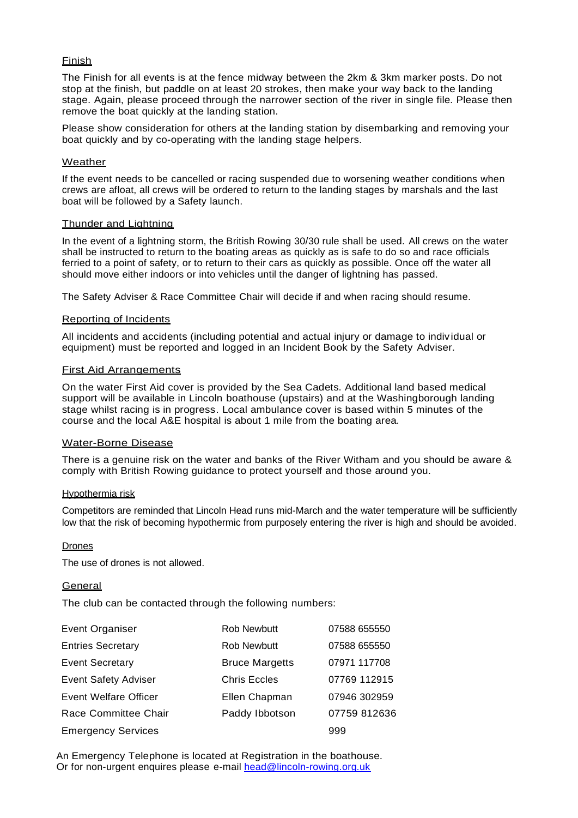# Finish

The Finish for all events is at the fence midway between the 2km & 3km marker posts. Do not stop at the finish, but paddle on at least 20 strokes, then make your way back to the landing stage. Again, please proceed through the narrower section of the river in single file. Please then remove the boat quickly at the landing station.

Please show consideration for others at the landing station by disembarking and removing your boat quickly and by co-operating with the landing stage helpers.

### **Weather**

If the event needs to be cancelled or racing suspended due to worsening weather conditions when crews are afloat, all crews will be ordered to return to the landing stages by marshals and the last boat will be followed by a Safety launch.

#### Thunder and Lightning

In the event of a lightning storm, the British Rowing 30/30 rule shall be used. All crews on the water shall be instructed to return to the boating areas as quickly as is safe to do so and race officials ferried to a point of safety, or to return to their cars as quickly as possible. Once off the water all should move either indoors or into vehicles until the danger of lightning has passed.

The Safety Adviser & Race Committee Chair will decide if and when racing should resume.

#### Reporting of Incidents

All incidents and accidents (including potential and actual injury or damage to individual or equipment) must be reported and logged in an Incident Book by the Safety Adviser.

#### First Aid Arrangements

On the water First Aid cover is provided by the Sea Cadets. Additional land based medical support will be available in Lincoln boathouse (upstairs) and at the Washingborough landing stage whilst racing is in progress. Local ambulance cover is based within 5 minutes of the course and the local A&E hospital is about 1 mile from the boating area.

#### Water-Borne Disease

There is a genuine risk on the water and banks of the River Witham and you should be aware & comply with British Rowing guidance to protect yourself and those around you.

#### Hypothermia risk

Competitors are reminded that Lincoln Head runs mid-March and the water temperature will be sufficiently low that the risk of becoming hypothermic from purposely entering the river is high and should be avoided.

#### Drones

The use of drones is not allowed.

# **General**

The club can be contacted through the following numbers:

| Event Organiser              | <b>Rob Newbutt</b>    | 07588 655550 |
|------------------------------|-----------------------|--------------|
| <b>Entries Secretary</b>     | <b>Rob Newbutt</b>    | 07588 655550 |
| <b>Event Secretary</b>       | <b>Bruce Margetts</b> | 07971 117708 |
| <b>Event Safety Adviser</b>  | <b>Chris Eccles</b>   | 07769 112915 |
| <b>Event Welfare Officer</b> | Ellen Chapman         | 07946 302959 |
| Race Committee Chair         | Paddy Ibbotson        | 07759 812636 |
| <b>Emergency Services</b>    |                       | 999          |

An Emergency Telephone is located at Registration in the boathouse. Or for non-urgent enquires please e-mail [head@lincoln-rowing.org.uk](mailto:head@lincoln-rowing.org.uk)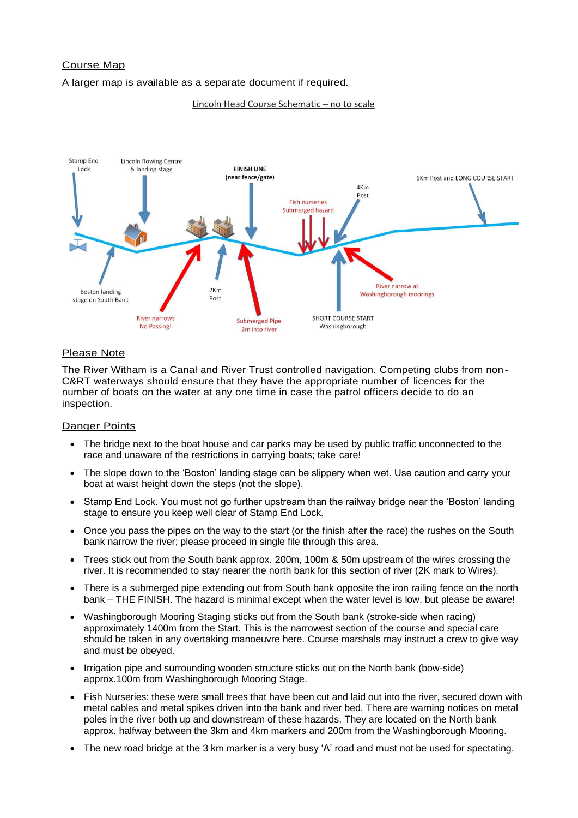# Course Map

A larger map is available as a separate document if required.

#### Lincoln Head Course Schematic - no to scale



#### Please Note

The River Witham is a Canal and River Trust controlled navigation. Competing clubs from non-C&RT waterways should ensure that they have the appropriate number of licences for the number of boats on the water at any one time in case the patrol officers decide to do an inspection.

#### Danger Points

- The bridge next to the boat house and car parks may be used by public traffic unconnected to the race and unaware of the restrictions in carrying boats; take care!
- The slope down to the 'Boston' landing stage can be slippery when wet. Use caution and carry your boat at waist height down the steps (not the slope).
- Stamp End Lock. You must not go further upstream than the railway bridge near the 'Boston' landing stage to ensure you keep well clear of Stamp End Lock.
- Once you pass the pipes on the way to the start (or the finish after the race) the rushes on the South bank narrow the river; please proceed in single file through this area.
- Trees stick out from the South bank approx. 200m, 100m & 50m upstream of the wires crossing the river. It is recommended to stay nearer the north bank for this section of river (2K mark to Wires).
- There is a submerged pipe extending out from South bank opposite the iron railing fence on the north bank – THE FINISH. The hazard is minimal except when the water level is low, but please be aware!
- Washingborough Mooring Staging sticks out from the South bank (stroke-side when racing) approximately 1400m from the Start. This is the narrowest section of the course and special care should be taken in any overtaking manoeuvre here. Course marshals may instruct a crew to give way and must be obeyed.
- Irrigation pipe and surrounding wooden structure sticks out on the North bank (bow-side) approx.100m from Washingborough Mooring Stage.
- Fish Nurseries: these were small trees that have been cut and laid out into the river, secured down with metal cables and metal spikes driven into the bank and river bed. There are warning notices on metal poles in the river both up and downstream of these hazards. They are located on the North bank approx. halfway between the 3km and 4km markers and 200m from the Washingborough Mooring.
- The new road bridge at the 3 km marker is a very busy 'A' road and must not be used for spectating.